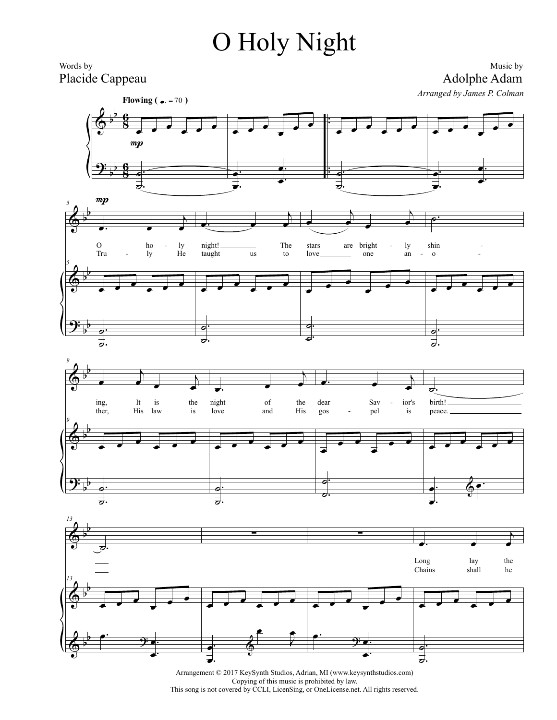## O Holy Night



Arrangement © 2017 KeySynth Studios, Adrian, MI (www.keysynthstudios.com) Copying of this music is prohibited by law. This song is not covered by CCLI, LicenSing, or OneLicense.net. All rights reserved.